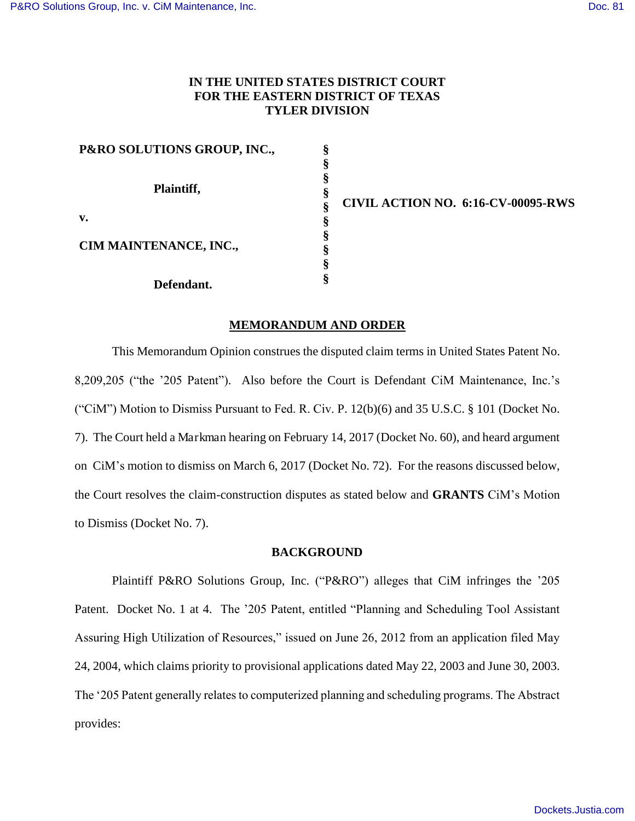## **IN THE UNITED STATES DISTRICT COURT FOR THE EASTERN DISTRICT OF TEXAS TYLER DIVISION**

**§ § § § § § § § § §** 

| P&RO SOLUTIONS GROUP, INC., |  |  |  |  |  |
|-----------------------------|--|--|--|--|--|
| Plaintiff,                  |  |  |  |  |  |
| v.                          |  |  |  |  |  |
| CIM MAINTENANCE, INC.,      |  |  |  |  |  |
| Defendant.                  |  |  |  |  |  |

**CIVIL ACTION NO. 6:16-CV-00095-RWS** 

#### **MEMORANDUM AND ORDER**

This Memorandum Opinion construes the disputed claim terms in United States Patent No. 8,209,205 ("the '205 Patent"). Also before the Court is Defendant CiM Maintenance, Inc.'s ("CiM") Motion to Dismiss Pursuant to Fed. R. Civ. P.  $12(b)(6)$  and  $35 U.S.C.$  § 101 (Docket No. 7). The Court held a Markman hearing on February 14, 2017 (Docket No. 60), and heard argument on CiM's motion to dismiss on March 6, 2017 (Docket No. 72). For the reasons discussed below, the Court resolves the claim-construction disputes as stated below and **GRANTS** CiM's Motion to Dismiss (Docket No. 7).

#### **BACKGROUND**

 Plaintiff P&RO Solutions Group, Inc. ("P&RO") alleges that CiM infringes the '205 Patent. Docket No. 1 at 4. The '205 Patent, entitled "Planning and Scheduling Tool Assistant Assuring High Utilization of Resources," issued on June 26, 2012 from an application filed May 24, 2004, which claims priority to provisional applications dated May 22, 2003 and June 30, 2003. The '205 Patent generally relates to computerized planning and scheduling programs. The Abstract provides: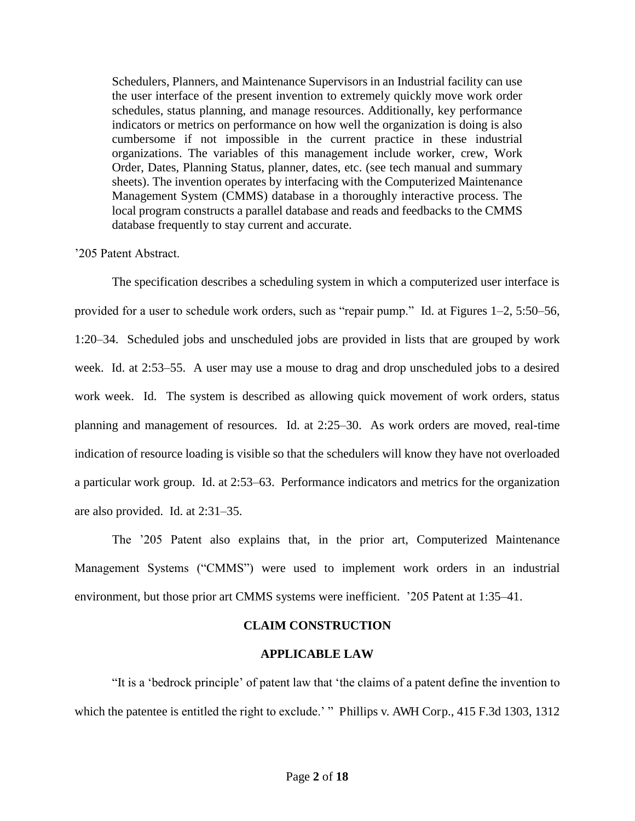Schedulers, Planners, and Maintenance Supervisors in an Industrial facility can use the user interface of the present invention to extremely quickly move work order schedules, status planning, and manage resources. Additionally, key performance indicators or metrics on performance on how well the organization is doing is also cumbersome if not impossible in the current practice in these industrial organizations. The variables of this management include worker, crew, Work Order, Dates, Planning Status, planner, dates, etc. (see tech manual and summary sheets). The invention operates by interfacing with the Computerized Maintenance Management System (CMMS) database in a thoroughly interactive process. The local program constructs a parallel database and reads and feedbacks to the CMMS database frequently to stay current and accurate.

### '205 Patent Abstract.

The specification describes a scheduling system in which a computerized user interface is provided for a user to schedule work orders, such as "repair pump." Id. at Figures 1–2, 5:50–56, 1:20–34. Scheduled jobs and unscheduled jobs are provided in lists that are grouped by work week. Id. at 2:53–55. A user may use a mouse to drag and drop unscheduled jobs to a desired work week. Id. The system is described as allowing quick movement of work orders, status planning and management of resources. Id. at 2:25–30. As work orders are moved, real-time indication of resource loading is visible so that the schedulers will know they have not overloaded a particular work group. Id. at 2:53–63. Performance indicators and metrics for the organization are also provided. Id. at 2:31–35.

The '205 Patent also explains that, in the prior art, Computerized Maintenance Management Systems ("CMMS") were used to implement work orders in an industrial environment, but those prior art CMMS systems were inefficient. '205 Patent at 1:35–41.

#### **CLAIM CONSTRUCTION**

#### **APPLICABLE LAW**

"It is a 'bedrock principle' of patent law that 'the claims of a patent define the invention to which the patentee is entitled the right to exclude.' " Phillips v. AWH Corp., 415 F.3d 1303, 1312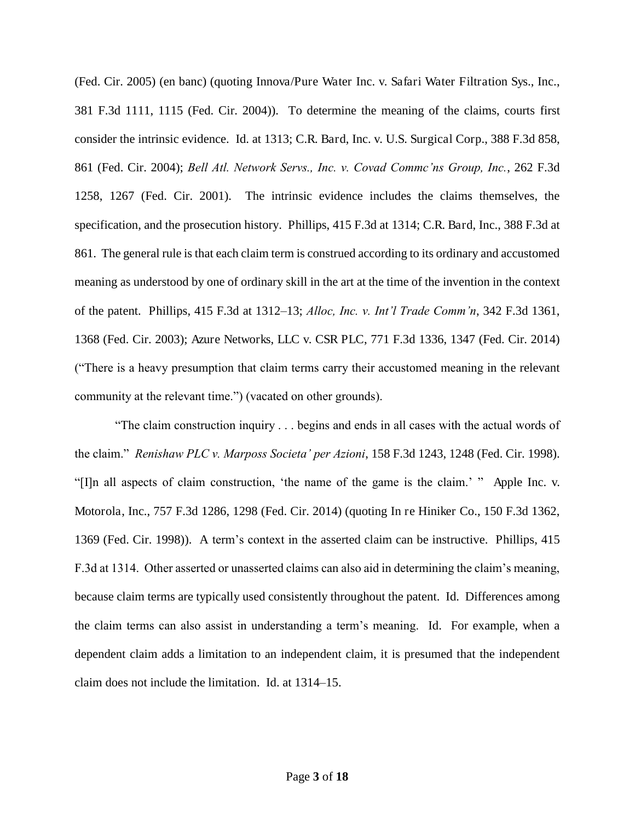(Fed. Cir. 2005) (en banc) (quoting Innova/Pure Water Inc. v. Safari Water Filtration Sys., Inc., 381 F.3d 1111, 1115 (Fed. Cir. 2004)). To determine the meaning of the claims, courts first consider the intrinsic evidence. Id. at 1313; C.R. Bard, Inc. v. U.S. Surgical Corp., 388 F.3d 858, 861 (Fed. Cir. 2004); *Bell Atl. Network Servs., Inc. v. Covad Commc'ns Group, Inc.*, 262 F.3d 1258, 1267 (Fed. Cir. 2001). The intrinsic evidence includes the claims themselves, the specification, and the prosecution history. Phillips, 415 F.3d at 1314; C.R. Bard, Inc., 388 F.3d at 861. The general rule is that each claim term is construed according to its ordinary and accustomed meaning as understood by one of ordinary skill in the art at the time of the invention in the context of the patent. Phillips, 415 F.3d at 1312–13; *Alloc, Inc. v. Int'l Trade Comm'n*, 342 F.3d 1361, 1368 (Fed. Cir. 2003); Azure Networks, LLC v. CSR PLC, 771 F.3d 1336, 1347 (Fed. Cir. 2014) ("There is a heavy presumption that claim terms carry their accustomed meaning in the relevant community at the relevant time.") (vacated on other grounds).

"The claim construction inquiry . . . begins and ends in all cases with the actual words of the claim." *Renishaw PLC v. Marposs Societa' per Azioni*, 158 F.3d 1243, 1248 (Fed. Cir. 1998). "[I]n all aspects of claim construction, 'the name of the game is the claim.' " Apple Inc. v. Motorola, Inc., 757 F.3d 1286, 1298 (Fed. Cir. 2014) (quoting In re Hiniker Co., 150 F.3d 1362, 1369 (Fed. Cir. 1998)). A term's context in the asserted claim can be instructive. Phillips, 415 F.3d at 1314. Other asserted or unasserted claims can also aid in determining the claim's meaning, because claim terms are typically used consistently throughout the patent. Id. Differences among the claim terms can also assist in understanding a term's meaning. Id. For example, when a dependent claim adds a limitation to an independent claim, it is presumed that the independent claim does not include the limitation. Id. at 1314–15.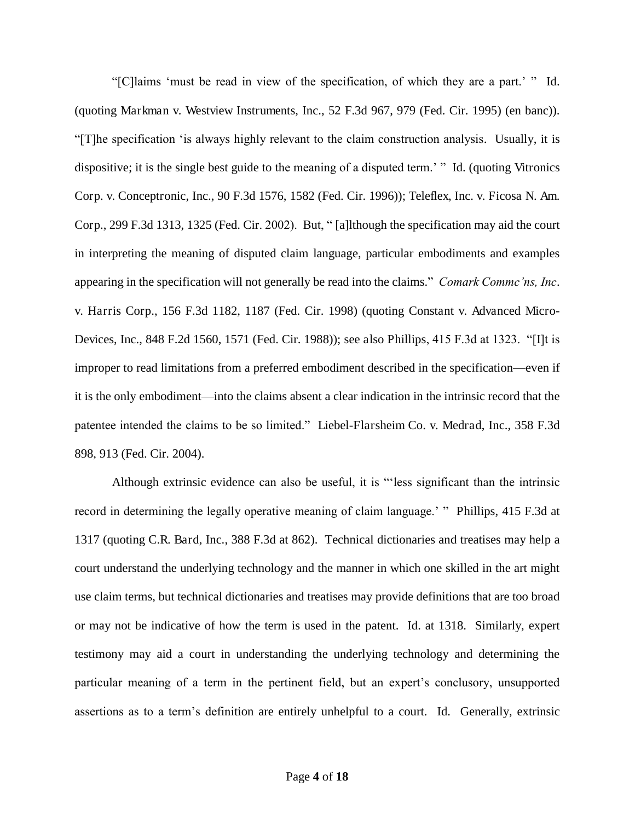"[C]laims 'must be read in view of the specification, of which they are a part.' " Id. (quoting Markman v. Westview Instruments, Inc., 52 F.3d 967, 979 (Fed. Cir. 1995) (en banc)). "[T]he specification 'is always highly relevant to the claim construction analysis. Usually, it is dispositive; it is the single best guide to the meaning of a disputed term.' " Id. (quoting Vitronics Corp. v. Conceptronic, Inc., 90 F.3d 1576, 1582 (Fed. Cir. 1996)); Teleflex, Inc. v. Ficosa N. Am. Corp., 299 F.3d 1313, 1325 (Fed. Cir. 2002). But, " [a]lthough the specification may aid the court in interpreting the meaning of disputed claim language, particular embodiments and examples appearing in the specification will not generally be read into the claims." *Comark Commc'ns, Inc*. v. Harris Corp., 156 F.3d 1182, 1187 (Fed. Cir. 1998) (quoting Constant v. Advanced Micro-Devices, Inc., 848 F.2d 1560, 1571 (Fed. Cir. 1988)); see also Phillips, 415 F.3d at 1323. "[I]t is improper to read limitations from a preferred embodiment described in the specification—even if it is the only embodiment—into the claims absent a clear indication in the intrinsic record that the patentee intended the claims to be so limited." Liebel-Flarsheim Co. v. Medrad, Inc., 358 F.3d 898, 913 (Fed. Cir. 2004).

Although extrinsic evidence can also be useful, it is "'less significant than the intrinsic record in determining the legally operative meaning of claim language.' " Phillips, 415 F.3d at 1317 (quoting C.R. Bard, Inc., 388 F.3d at 862). Technical dictionaries and treatises may help a court understand the underlying technology and the manner in which one skilled in the art might use claim terms, but technical dictionaries and treatises may provide definitions that are too broad or may not be indicative of how the term is used in the patent. Id. at 1318. Similarly, expert testimony may aid a court in understanding the underlying technology and determining the particular meaning of a term in the pertinent field, but an expert's conclusory, unsupported assertions as to a term's definition are entirely unhelpful to a court. Id. Generally, extrinsic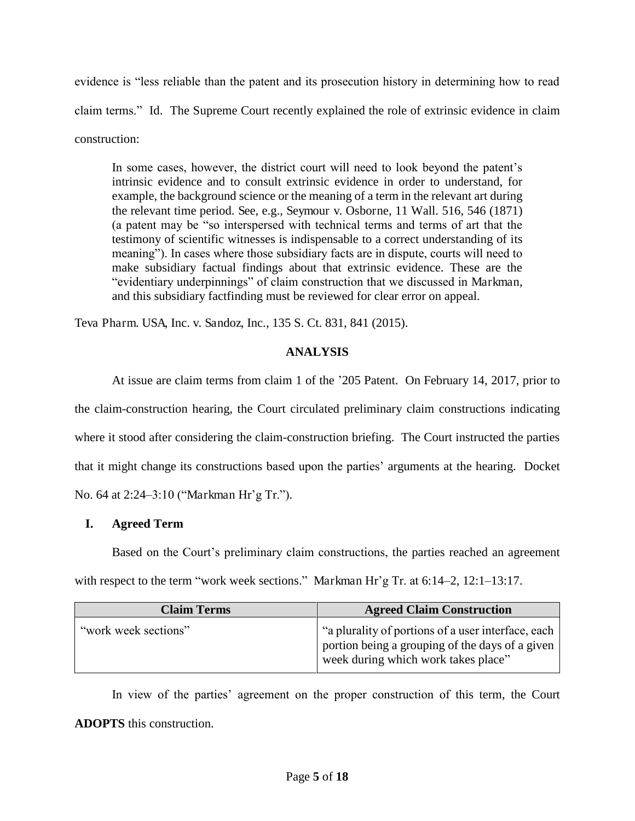evidence is "less reliable than the patent and its prosecution history in determining how to read claim terms." Id. The Supreme Court recently explained the role of extrinsic evidence in claim construction:

In some cases, however, the district court will need to look beyond the patent's intrinsic evidence and to consult extrinsic evidence in order to understand, for example, the background science or the meaning of a term in the relevant art during the relevant time period. See, e.g., Seymour v. Osborne, 11 Wall. 516, 546 (1871) (a patent may be "so interspersed with technical terms and terms of art that the testimony of scientific witnesses is indispensable to a correct understanding of its meaning"). In cases where those subsidiary facts are in dispute, courts will need to make subsidiary factual findings about that extrinsic evidence. These are the "evidentiary underpinnings" of claim construction that we discussed in Markman, and this subsidiary factfinding must be reviewed for clear error on appeal.

Teva Pharm. USA, Inc. v. Sandoz, Inc., 135 S. Ct. 831, 841 (2015).

## **ANALYSIS**

At issue are claim terms from claim 1 of the '205 Patent. On February 14, 2017, prior to the claim-construction hearing, the Court circulated preliminary claim constructions indicating where it stood after considering the claim-construction briefing. The Court instructed the parties that it might change its constructions based upon the parties' arguments at the hearing. Docket No. 64 at 2:24–3:10 ("Markman Hr'g Tr.").

# **I. Agreed Term**

Based on the Court's preliminary claim constructions, the parties reached an agreement with respect to the term "work week sections." Markman Hr'g Tr. at 6:14–2, 12:1–13:17.

| <b>Claim Terms</b>   | <b>Agreed Claim Construction</b>                                                                                                             |  |  |  |
|----------------------|----------------------------------------------------------------------------------------------------------------------------------------------|--|--|--|
| "work week sections" | "a plurality of portions of a user interface, each<br>portion being a grouping of the days of a given<br>week during which work takes place" |  |  |  |

In view of the parties' agreement on the proper construction of this term, the Court **ADOPTS** this construction.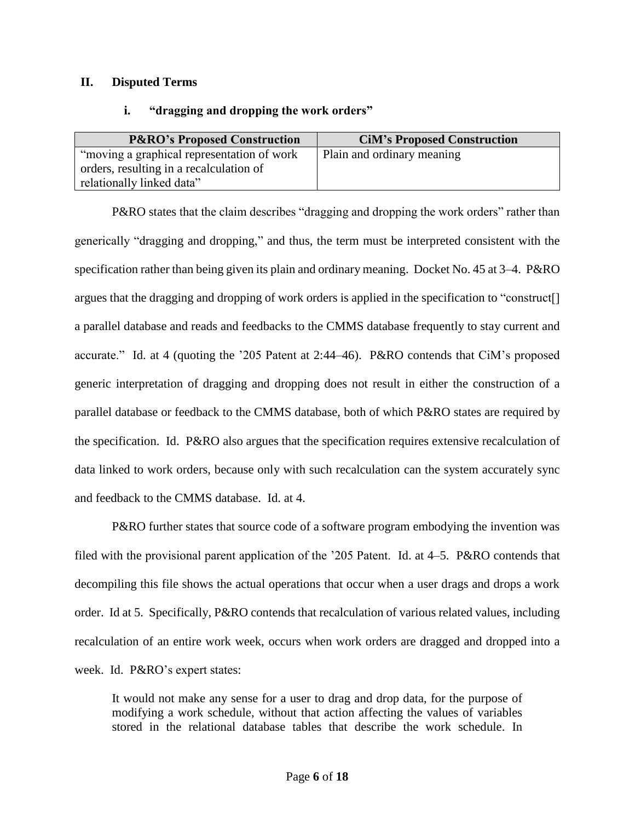## **II. Disputed Terms**

## **i. "dragging and dropping the work orders"**

| <b>P&amp;RO's Proposed Construction</b>     | <b>CiM's Proposed Construction</b> |
|---------------------------------------------|------------------------------------|
| "moving a graphical representation of work" | Plain and ordinary meaning         |
| orders, resulting in a recalculation of     |                                    |
| relationally linked data"                   |                                    |

P&RO states that the claim describes "dragging and dropping the work orders" rather than generically "dragging and dropping," and thus, the term must be interpreted consistent with the specification rather than being given its plain and ordinary meaning. Docket No. 45 at 3–4. P&RO argues that the dragging and dropping of work orders is applied in the specification to "construct[] a parallel database and reads and feedbacks to the CMMS database frequently to stay current and accurate." Id. at 4 (quoting the '205 Patent at 2:44–46). P&RO contends that CiM's proposed generic interpretation of dragging and dropping does not result in either the construction of a parallel database or feedback to the CMMS database, both of which P&RO states are required by the specification. Id. P&RO also argues that the specification requires extensive recalculation of data linked to work orders, because only with such recalculation can the system accurately sync and feedback to the CMMS database. Id. at 4.

P&RO further states that source code of a software program embodying the invention was filed with the provisional parent application of the '205 Patent. Id. at 4–5. P&RO contends that decompiling this file shows the actual operations that occur when a user drags and drops a work order. Id at 5. Specifically, P&RO contends that recalculation of various related values, including recalculation of an entire work week, occurs when work orders are dragged and dropped into a week. Id. P&RO's expert states:

It would not make any sense for a user to drag and drop data, for the purpose of modifying a work schedule, without that action affecting the values of variables stored in the relational database tables that describe the work schedule. In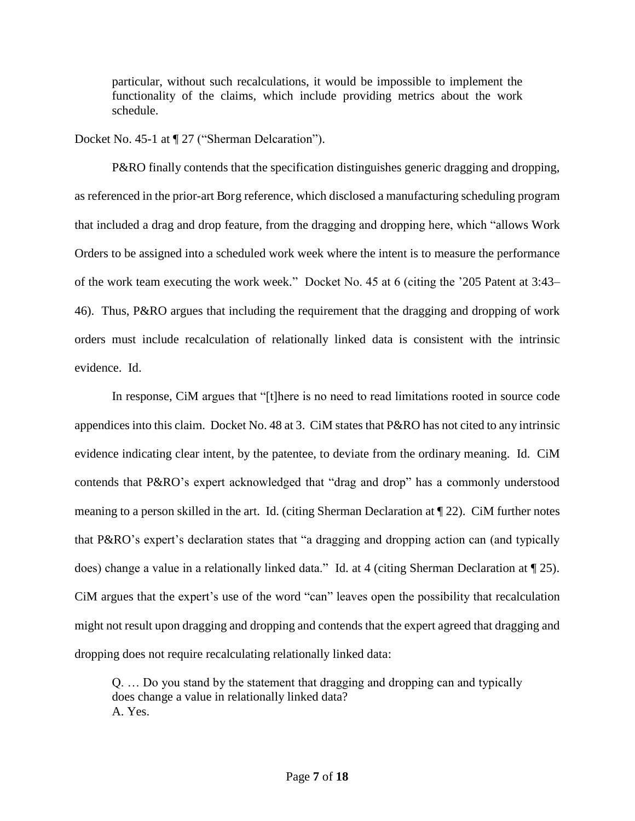particular, without such recalculations, it would be impossible to implement the functionality of the claims, which include providing metrics about the work schedule.

Docket No. 45-1 at  $\P$  27 ("Sherman Delcaration").

 P&RO finally contends that the specification distinguishes generic dragging and dropping, as referenced in the prior-art Borg reference, which disclosed a manufacturing scheduling program that included a drag and drop feature, from the dragging and dropping here, which "allows Work Orders to be assigned into a scheduled work week where the intent is to measure the performance of the work team executing the work week." Docket No. 45 at 6 (citing the '205 Patent at 3:43– 46). Thus, P&RO argues that including the requirement that the dragging and dropping of work orders must include recalculation of relationally linked data is consistent with the intrinsic evidence. Id.

In response, CiM argues that "[t]here is no need to read limitations rooted in source code appendices into this claim. Docket No. 48 at 3. CiM states that P&RO has not cited to any intrinsic evidence indicating clear intent, by the patentee, to deviate from the ordinary meaning. Id. CiM contends that P&RO's expert acknowledged that "drag and drop" has a commonly understood meaning to a person skilled in the art. Id. (citing Sherman Declaration at ¶ 22). CiM further notes that P&RO's expert's declaration states that "a dragging and dropping action can (and typically does) change a value in a relationally linked data." Id. at 4 (citing Sherman Declaration at ¶ 25). CiM argues that the expert's use of the word "can" leaves open the possibility that recalculation might not result upon dragging and dropping and contends that the expert agreed that dragging and dropping does not require recalculating relationally linked data:

Q. … Do you stand by the statement that dragging and dropping can and typically does change a value in relationally linked data? A. Yes.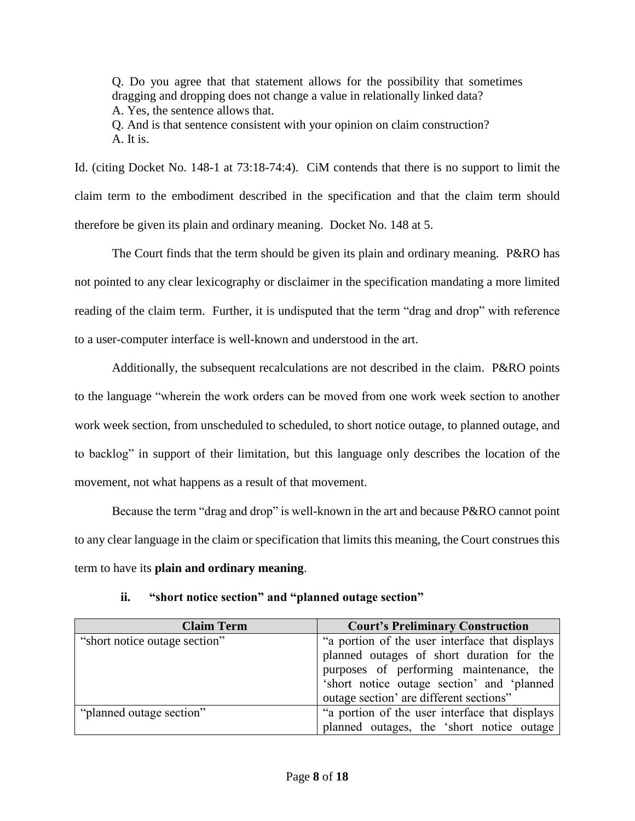Q. Do you agree that that statement allows for the possibility that sometimes dragging and dropping does not change a value in relationally linked data? A. Yes, the sentence allows that. Q. And is that sentence consistent with your opinion on claim construction?

A. It is.

Id. (citing Docket No. 148-1 at 73:18-74:4). CiM contends that there is no support to limit the claim term to the embodiment described in the specification and that the claim term should therefore be given its plain and ordinary meaning. Docket No. 148 at 5.

The Court finds that the term should be given its plain and ordinary meaning. P&RO has not pointed to any clear lexicography or disclaimer in the specification mandating a more limited reading of the claim term. Further, it is undisputed that the term "drag and drop" with reference to a user-computer interface is well-known and understood in the art.

Additionally, the subsequent recalculations are not described in the claim. P&RO points to the language "wherein the work orders can be moved from one work week section to another work week section, from unscheduled to scheduled, to short notice outage, to planned outage, and to backlog" in support of their limitation, but this language only describes the location of the movement, not what happens as a result of that movement.

Because the term "drag and drop" is well-known in the art and because P&RO cannot point to any clear language in the claim or specification that limits this meaning, the Court construes this term to have its **plain and ordinary meaning**.

| <b>Claim Term</b>             | <b>Court's Preliminary Construction</b>        |  |  |  |  |
|-------------------------------|------------------------------------------------|--|--|--|--|
| "short notice outage section" | "a portion of the user interface that displays |  |  |  |  |
|                               | planned outages of short duration for the      |  |  |  |  |
|                               | purposes of performing maintenance, the        |  |  |  |  |
|                               | 'short notice outage section' and 'planned     |  |  |  |  |
|                               | outage section' are different sections"        |  |  |  |  |
| "planned outage section"      | "a portion of the user interface that displays |  |  |  |  |
|                               | planned outages, the 'short notice outage      |  |  |  |  |

**ii. "short notice section" and "planned outage section"**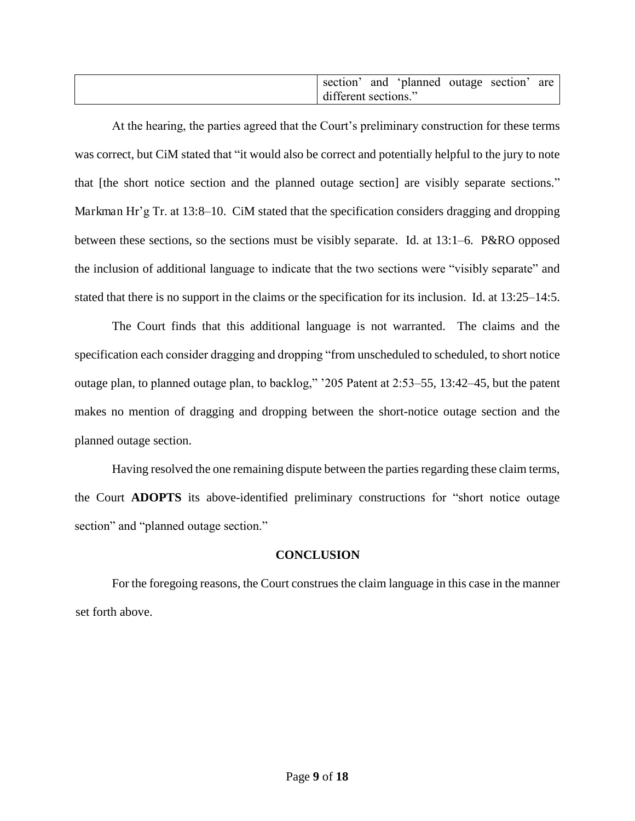| section <sup>2</sup> |  | and 'planned outage section' |  |  | are |
|----------------------|--|------------------------------|--|--|-----|
| different sections." |  |                              |  |  |     |

At the hearing, the parties agreed that the Court's preliminary construction for these terms was correct, but CiM stated that "it would also be correct and potentially helpful to the jury to note that [the short notice section and the planned outage section] are visibly separate sections." Markman Hr'g Tr. at 13:8–10. CiM stated that the specification considers dragging and dropping between these sections, so the sections must be visibly separate. Id. at 13:1–6. P&RO opposed the inclusion of additional language to indicate that the two sections were "visibly separate" and stated that there is no support in the claims or the specification for its inclusion. Id. at 13:25–14:5.

The Court finds that this additional language is not warranted. The claims and the specification each consider dragging and dropping "from unscheduled to scheduled, to short notice outage plan, to planned outage plan, to backlog," '205 Patent at 2:53–55, 13:42–45, but the patent makes no mention of dragging and dropping between the short-notice outage section and the planned outage section.

Having resolved the one remaining dispute between the parties regarding these claim terms, the Court **ADOPTS** its above-identified preliminary constructions for "short notice outage section" and "planned outage section."

## **CONCLUSION**

 For the foregoing reasons, the Court construes the claim language in this case in the manner set forth above.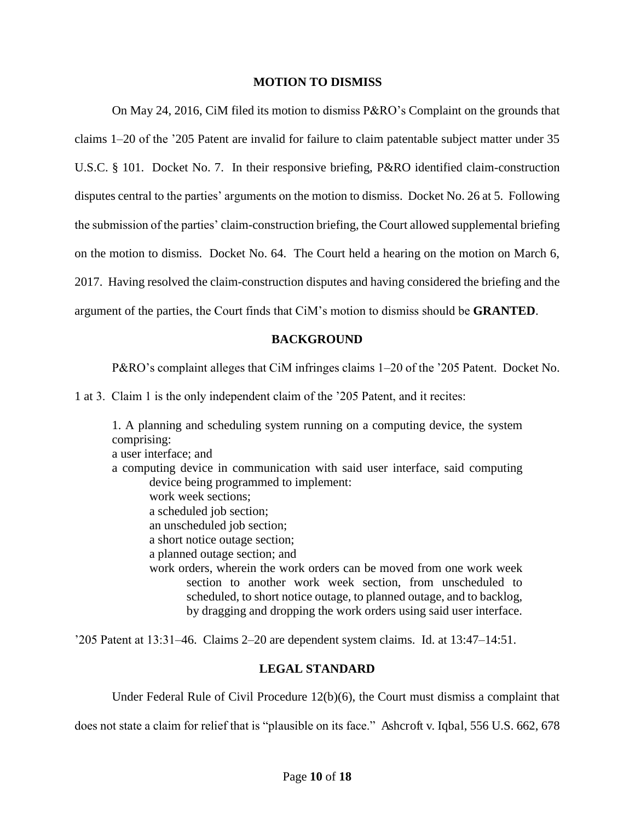#### **MOTION TO DISMISS**

On May 24, 2016, CiM filed its motion to dismiss P&RO's Complaint on the grounds that claims 1–20 of the '205 Patent are invalid for failure to claim patentable subject matter under 35 U.S.C. § 101. Docket No. 7. In their responsive briefing, P&RO identified claim-construction disputes central to the parties' arguments on the motion to dismiss. Docket No. 26 at 5. Following the submission of the parties' claim-construction briefing, the Court allowed supplemental briefing on the motion to dismiss. Docket No. 64. The Court held a hearing on the motion on March 6, 2017. Having resolved the claim-construction disputes and having considered the briefing and the argument of the parties, the Court finds that CiM's motion to dismiss should be **GRANTED**.

### **BACKGROUND**

P&RO's complaint alleges that CiM infringes claims 1–20 of the '205 Patent. Docket No.

1 at 3. Claim 1 is the only independent claim of the '205 Patent, and it recites:

1. A planning and scheduling system running on a computing device, the system comprising: a user interface; and a computing device in communication with said user interface, said computing device being programmed to implement: work week sections; a scheduled job section; an unscheduled job section; a short notice outage section; a planned outage section; and work orders, wherein the work orders can be moved from one work week section to another work week section, from unscheduled to scheduled, to short notice outage, to planned outage, and to backlog, by dragging and dropping the work orders using said user interface.

'205 Patent at 13:31–46. Claims 2–20 are dependent system claims. Id. at 13:47–14:51.

## **LEGAL STANDARD**

Under Federal Rule of Civil Procedure 12(b)(6), the Court must dismiss a complaint that

does not state a claim for relief that is "plausible on its face." Ashcroft v. Iqbal, 556 U.S. 662, 678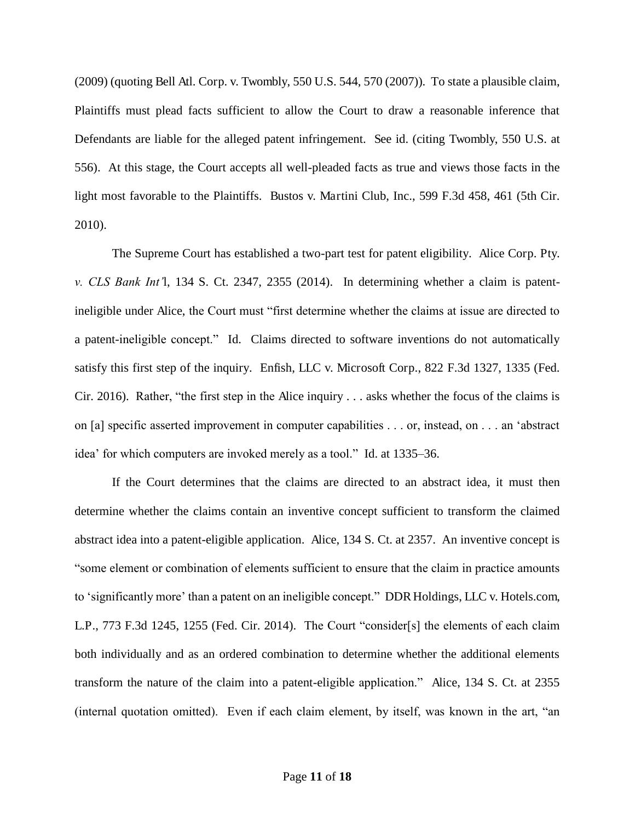(2009) (quoting Bell Atl. Corp. v. Twombly, 550 U.S. 544, 570 (2007)). To state a plausible claim, Plaintiffs must plead facts sufficient to allow the Court to draw a reasonable inference that Defendants are liable for the alleged patent infringement. See id. (citing Twombly, 550 U.S. at 556). At this stage, the Court accepts all well-pleaded facts as true and views those facts in the light most favorable to the Plaintiffs. Bustos v. Martini Club, Inc., 599 F.3d 458, 461 (5th Cir. 2010).

The Supreme Court has established a two-part test for patent eligibility. Alice Corp. Pty. *v. CLS Bank Int'*l, 134 S. Ct. 2347, 2355 (2014). In determining whether a claim is patentineligible under Alice, the Court must "first determine whether the claims at issue are directed to a patent-ineligible concept." Id. Claims directed to software inventions do not automatically satisfy this first step of the inquiry. Enfish, LLC v. Microsoft Corp., 822 F.3d 1327, 1335 (Fed. Cir. 2016). Rather, "the first step in the Alice inquiry . . . asks whether the focus of the claims is on [a] specific asserted improvement in computer capabilities . . . or, instead, on . . . an 'abstract idea' for which computers are invoked merely as a tool." Id. at 1335–36.

If the Court determines that the claims are directed to an abstract idea, it must then determine whether the claims contain an inventive concept sufficient to transform the claimed abstract idea into a patent-eligible application. Alice, 134 S. Ct. at 2357. An inventive concept is "some element or combination of elements sufficient to ensure that the claim in practice amounts to 'significantly more' than a patent on an ineligible concept." DDR Holdings, LLC v. Hotels.com, L.P., 773 F.3d 1245, 1255 (Fed. Cir. 2014). The Court "consider[s] the elements of each claim both individually and as an ordered combination to determine whether the additional elements transform the nature of the claim into a patent-eligible application." Alice, 134 S. Ct. at 2355 (internal quotation omitted). Even if each claim element, by itself, was known in the art, "an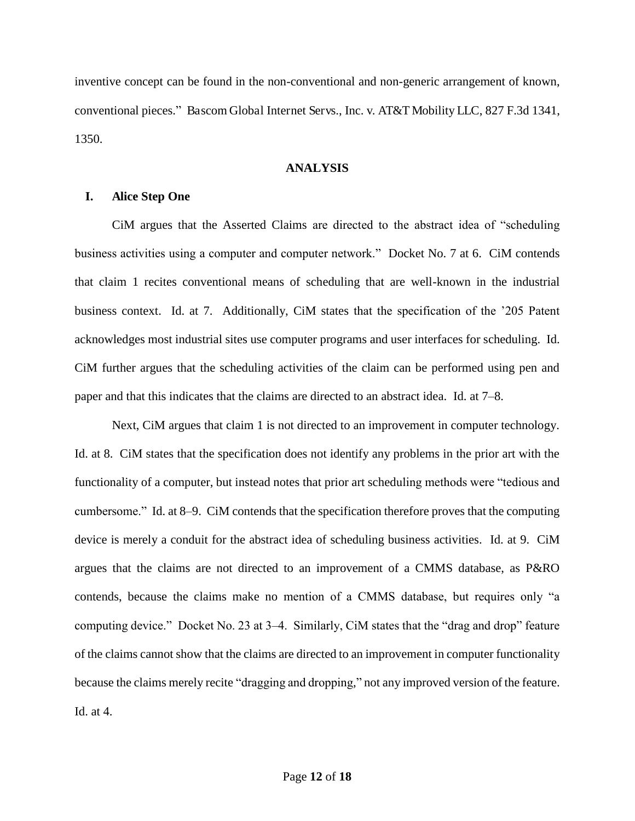inventive concept can be found in the non-conventional and non-generic arrangement of known, conventional pieces." Bascom Global Internet Servs., Inc. v. AT&T Mobility LLC, 827 F.3d 1341, 1350.

### **ANALYSIS**

## **I. Alice Step One**

CiM argues that the Asserted Claims are directed to the abstract idea of "scheduling business activities using a computer and computer network." Docket No. 7 at 6. CiM contends that claim 1 recites conventional means of scheduling that are well-known in the industrial business context. Id. at 7. Additionally, CiM states that the specification of the '205 Patent acknowledges most industrial sites use computer programs and user interfaces for scheduling. Id. CiM further argues that the scheduling activities of the claim can be performed using pen and paper and that this indicates that the claims are directed to an abstract idea. Id. at 7–8.

Next, CiM argues that claim 1 is not directed to an improvement in computer technology. Id. at 8. CiM states that the specification does not identify any problems in the prior art with the functionality of a computer, but instead notes that prior art scheduling methods were "tedious and cumbersome." Id. at 8–9. CiM contends that the specification therefore proves that the computing device is merely a conduit for the abstract idea of scheduling business activities. Id. at 9. CiM argues that the claims are not directed to an improvement of a CMMS database, as P&RO contends, because the claims make no mention of a CMMS database, but requires only "a computing device." Docket No. 23 at 3–4. Similarly, CiM states that the "drag and drop" feature of the claims cannot show that the claims are directed to an improvement in computer functionality because the claims merely recite "dragging and dropping," not any improved version of the feature. Id. at 4.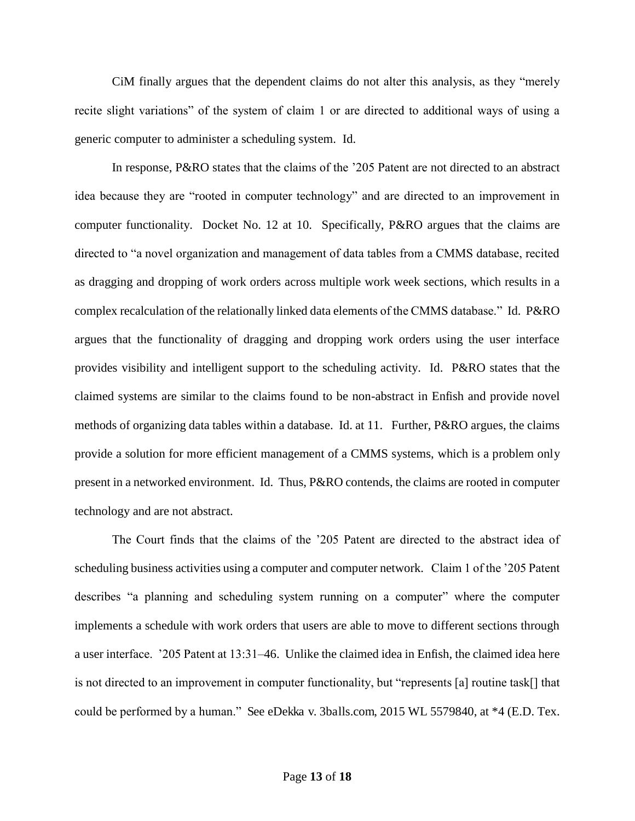CiM finally argues that the dependent claims do not alter this analysis, as they "merely recite slight variations" of the system of claim 1 or are directed to additional ways of using a generic computer to administer a scheduling system. Id.

In response, P&RO states that the claims of the '205 Patent are not directed to an abstract idea because they are "rooted in computer technology" and are directed to an improvement in computer functionality. Docket No. 12 at 10. Specifically, P&RO argues that the claims are directed to "a novel organization and management of data tables from a CMMS database, recited as dragging and dropping of work orders across multiple work week sections, which results in a complex recalculation of the relationally linked data elements of the CMMS database." Id. P&RO argues that the functionality of dragging and dropping work orders using the user interface provides visibility and intelligent support to the scheduling activity. Id. P&RO states that the claimed systems are similar to the claims found to be non-abstract in Enfish and provide novel methods of organizing data tables within a database. Id. at 11. Further, P&RO argues, the claims provide a solution for more efficient management of a CMMS systems, which is a problem only present in a networked environment. Id. Thus, P&RO contends, the claims are rooted in computer technology and are not abstract.

The Court finds that the claims of the '205 Patent are directed to the abstract idea of scheduling business activities using a computer and computer network. Claim 1 of the '205 Patent describes "a planning and scheduling system running on a computer" where the computer implements a schedule with work orders that users are able to move to different sections through a user interface. '205 Patent at 13:31–46. Unlike the claimed idea in Enfish, the claimed idea here is not directed to an improvement in computer functionality, but "represents [a] routine task[] that could be performed by a human." See eDekka v. 3balls.com, 2015 WL 5579840, at \*4 (E.D. Tex.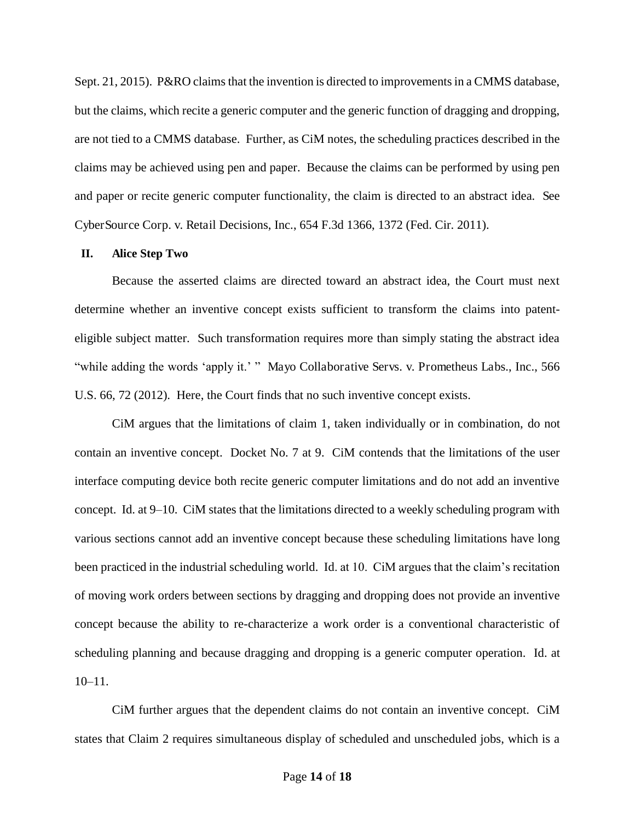Sept. 21, 2015). P&RO claims that the invention is directed to improvements in a CMMS database, but the claims, which recite a generic computer and the generic function of dragging and dropping, are not tied to a CMMS database. Further, as CiM notes, the scheduling practices described in the claims may be achieved using pen and paper. Because the claims can be performed by using pen and paper or recite generic computer functionality, the claim is directed to an abstract idea. See CyberSource Corp. v. Retail Decisions, Inc., 654 F.3d 1366, 1372 (Fed. Cir. 2011).

#### **II. Alice Step Two**

Because the asserted claims are directed toward an abstract idea, the Court must next determine whether an inventive concept exists sufficient to transform the claims into patenteligible subject matter. Such transformation requires more than simply stating the abstract idea "while adding the words 'apply it.' " Mayo Collaborative Servs. v. Prometheus Labs., Inc., 566 U.S. 66, 72 (2012). Here, the Court finds that no such inventive concept exists.

CiM argues that the limitations of claim 1, taken individually or in combination, do not contain an inventive concept. Docket No. 7 at 9. CiM contends that the limitations of the user interface computing device both recite generic computer limitations and do not add an inventive concept. Id. at 9–10. CiM states that the limitations directed to a weekly scheduling program with various sections cannot add an inventive concept because these scheduling limitations have long been practiced in the industrial scheduling world. Id. at 10. CiM argues that the claim's recitation of moving work orders between sections by dragging and dropping does not provide an inventive concept because the ability to re-characterize a work order is a conventional characteristic of scheduling planning and because dragging and dropping is a generic computer operation. Id. at  $10-11$ .

CiM further argues that the dependent claims do not contain an inventive concept. CiM states that Claim 2 requires simultaneous display of scheduled and unscheduled jobs, which is a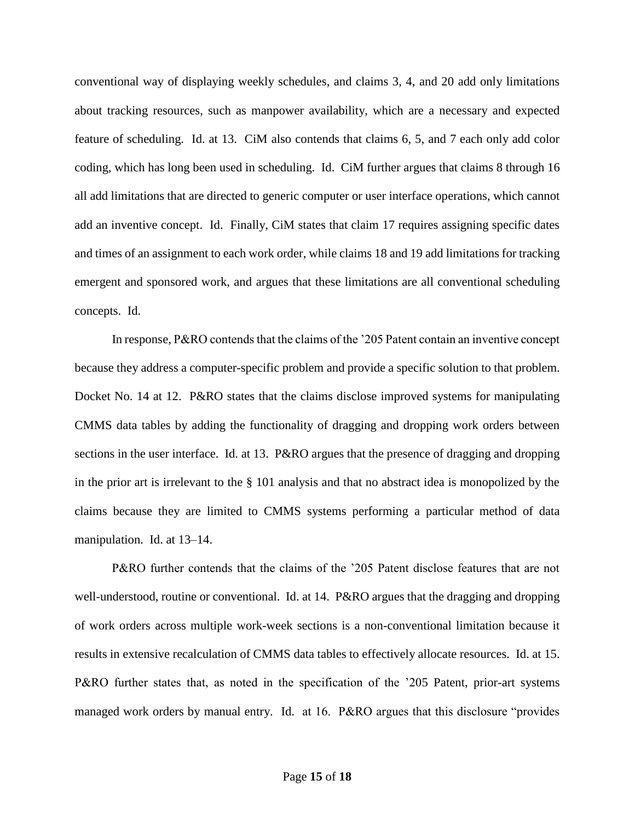conventional way of displaying weekly schedules, and claims 3, 4, and 20 add only limitations about tracking resources, such as manpower availability, which are a necessary and expected feature of scheduling. Id. at 13. CiM also contends that claims 6, 5, and 7 each only add color coding, which has long been used in scheduling. Id. CiM further argues that claims 8 through 16 all add limitations that are directed to generic computer or user interface operations, which cannot add an inventive concept. Id. Finally, CiM states that claim 17 requires assigning specific dates and times of an assignment to each work order, while claims 18 and 19 add limitations for tracking emergent and sponsored work, and argues that these limitations are all conventional scheduling concepts. Id.

In response, P&RO contends that the claims of the '205 Patent contain an inventive concept because they address a computer-specific problem and provide a specific solution to that problem. Docket No. 14 at 12. P&RO states that the claims disclose improved systems for manipulating CMMS data tables by adding the functionality of dragging and dropping work orders between sections in the user interface. Id. at 13. P&RO argues that the presence of dragging and dropping in the prior art is irrelevant to the § 101 analysis and that no abstract idea is monopolized by the claims because they are limited to CMMS systems performing a particular method of data manipulation. Id. at 13–14.

P&RO further contends that the claims of the '205 Patent disclose features that are not well-understood, routine or conventional. Id. at 14. P&RO argues that the dragging and dropping of work orders across multiple work-week sections is a non-conventional limitation because it results in extensive recalculation of CMMS data tables to effectively allocate resources. Id. at 15. P&RO further states that, as noted in the specification of the '205 Patent, prior-art systems managed work orders by manual entry. Id. at 16. P&RO argues that this disclosure "provides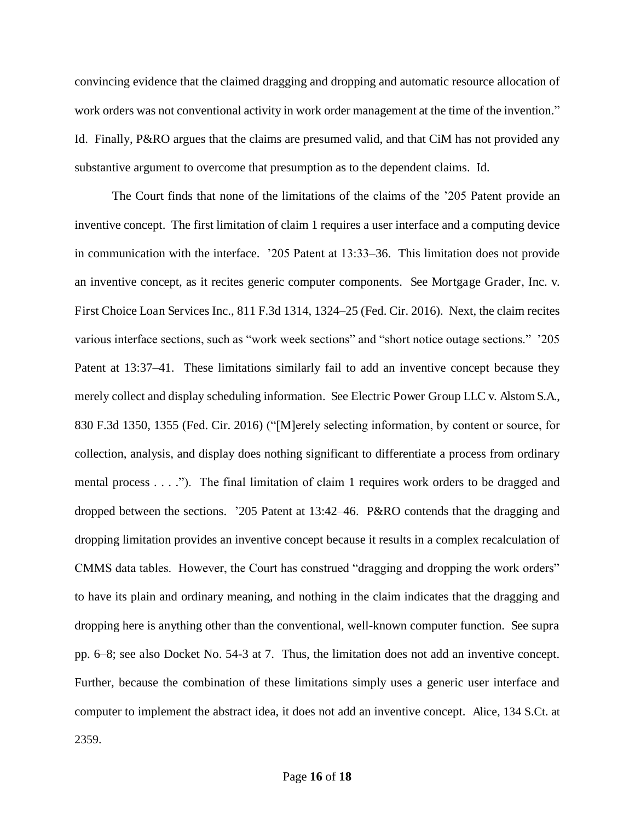convincing evidence that the claimed dragging and dropping and automatic resource allocation of work orders was not conventional activity in work order management at the time of the invention." Id. Finally, P&RO argues that the claims are presumed valid, and that CiM has not provided any substantive argument to overcome that presumption as to the dependent claims. Id.

The Court finds that none of the limitations of the claims of the '205 Patent provide an inventive concept. The first limitation of claim 1 requires a user interface and a computing device in communication with the interface. '205 Patent at 13:33–36. This limitation does not provide an inventive concept, as it recites generic computer components. See Mortgage Grader, Inc. v. First Choice Loan Services Inc., 811 F.3d 1314, 1324–25 (Fed. Cir. 2016). Next, the claim recites various interface sections, such as "work week sections" and "short notice outage sections." '205 Patent at 13:37–41. These limitations similarly fail to add an inventive concept because they merely collect and display scheduling information. See Electric Power Group LLC v. Alstom S.A., 830 F.3d 1350, 1355 (Fed. Cir. 2016) ("[M]erely selecting information, by content or source, for collection, analysis, and display does nothing significant to differentiate a process from ordinary mental process . . . ."). The final limitation of claim 1 requires work orders to be dragged and dropped between the sections. '205 Patent at 13:42–46. P&RO contends that the dragging and dropping limitation provides an inventive concept because it results in a complex recalculation of CMMS data tables. However, the Court has construed "dragging and dropping the work orders" to have its plain and ordinary meaning, and nothing in the claim indicates that the dragging and dropping here is anything other than the conventional, well-known computer function. See supra pp. 6–8; see also Docket No. 54-3 at 7. Thus, the limitation does not add an inventive concept. Further, because the combination of these limitations simply uses a generic user interface and computer to implement the abstract idea, it does not add an inventive concept. Alice, 134 S.Ct. at 2359.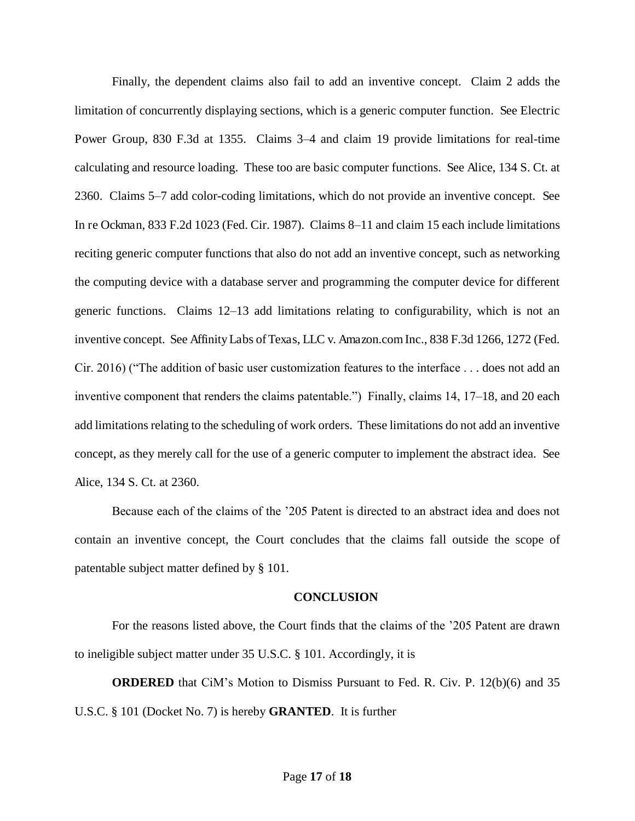Finally, the dependent claims also fail to add an inventive concept. Claim 2 adds the limitation of concurrently displaying sections, which is a generic computer function. See Electric Power Group, 830 F.3d at 1355. Claims 3–4 and claim 19 provide limitations for real-time calculating and resource loading. These too are basic computer functions. See Alice, 134 S. Ct. at 2360. Claims 5–7 add color-coding limitations, which do not provide an inventive concept. See In re Ockman, 833 F.2d 1023 (Fed. Cir. 1987). Claims 8–11 and claim 15 each include limitations reciting generic computer functions that also do not add an inventive concept, such as networking the computing device with a database server and programming the computer device for different generic functions. Claims 12–13 add limitations relating to configurability, which is not an inventive concept. See Affinity Labs of Texas, LLC v. Amazon.com Inc., 838 F.3d 1266, 1272 (Fed. Cir. 2016) ("The addition of basic user customization features to the interface . . . does not add an inventive component that renders the claims patentable.") Finally, claims 14, 17–18, and 20 each add limitations relating to the scheduling of work orders. These limitations do not add an inventive concept, as they merely call for the use of a generic computer to implement the abstract idea. See Alice, 134 S. Ct. at 2360.

Because each of the claims of the '205 Patent is directed to an abstract idea and does not contain an inventive concept, the Court concludes that the claims fall outside the scope of patentable subject matter defined by § 101.

#### **CONCLUSION**

For the reasons listed above, the Court finds that the claims of the '205 Patent are drawn to ineligible subject matter under 35 U.S.C. § 101. Accordingly, it is

**ORDERED** that CiM's Motion to Dismiss Pursuant to Fed. R. Civ. P. 12(b)(6) and 35 U.S.C. § 101 (Docket No. 7) is hereby **GRANTED**. It is further